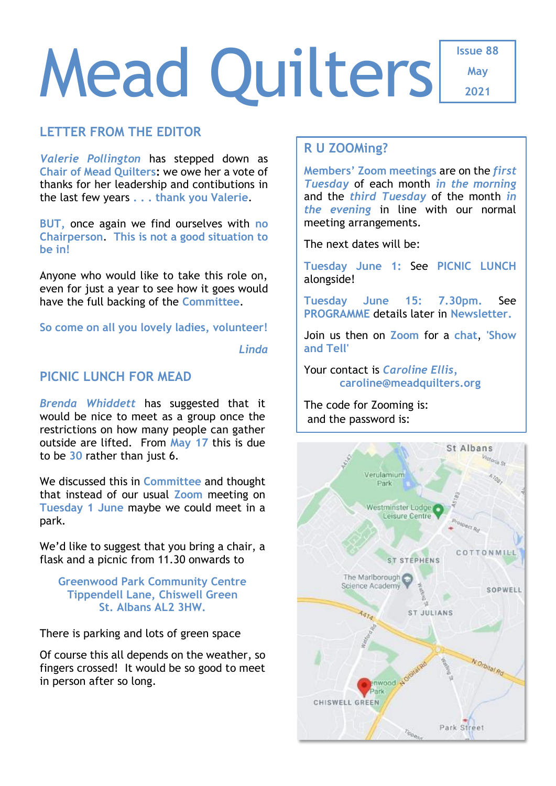# Mead Quilters

**Issue 88 May**

**2021**

# **LETTER FROM THE EDITOR**

*Valerie Pollington* has stepped down as **Chair of Mead Quilters:** we owe her a vote of thanks for her leadership and contibutions in the last few years **. . . thank you Valerie**.

**BUT,** once again we find ourselves with **no Chairperson**. **This is not a good situation to be in!**

Anyone who would like to take this role on, even for just a year to see how it goes would have the full backing of the **Committee**.

**So come on all you lovely ladies, volunteer!**

*Linda*

## **PICNIC LUNCH FOR MEAD**

*Brenda Whiddett* has suggested that it would be nice to meet as a group once the restrictions on how many people can gather outside are lifted. From **May 17** this is due to be **30** rather than just 6.

We discussed this in **Committee** and thought that instead of our usual **Zoom** meeting on **Tuesday 1 June** maybe we could meet in a park.

We'd like to suggest that you bring a chair, a flask and a picnic from 11.30 onwards to

**Greenwood Park Community Centre Tippendell Lane, Chiswell Green St. Albans AL2 3HW.**

There is parking and lots of green space

Of course this all depends on the weather, so fingers crossed! It would be so good to meet in person after so long.

# **R U ZOOMing?**

**Members' Zoom meetings** are on the *first Tuesday* of each month *in the morning* and the *third Tuesday* of the month *in the evening* in line with our normal meeting arrangements.

The next dates will be:

**Tuesday June 1:** See **PICNIC LUNCH** alongside!

**Tuesday June 15: 7.30pm.** See **PROGRAMME** details later in **Newsletter.**

Join us then on **Zoom** for a **chat**, **'Show and Tell'**

Your contact is *Caroline Ellis,* **[caroline@meadquilters.org](mailto:carolineellis99@aol.com)**

The code for Zooming is: and the password is:

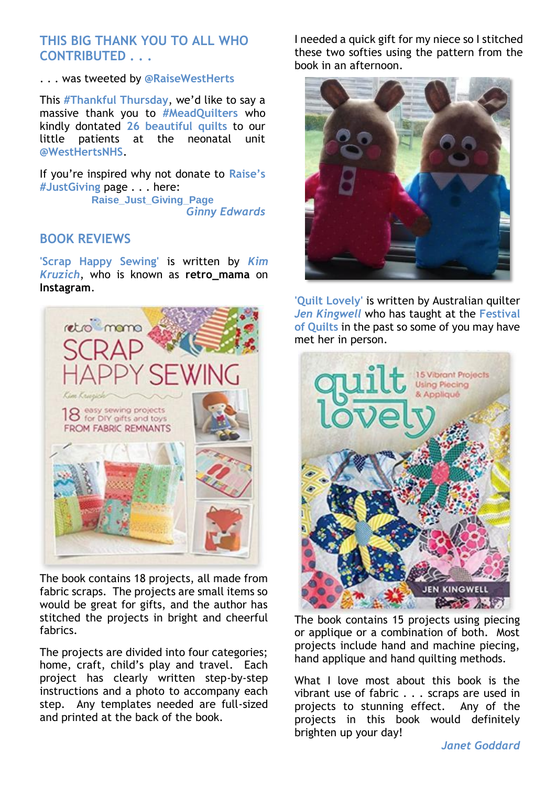# **THIS BIG THANK YOU TO ALL WHO CONTRIBUTED . . .**

#### . . . was tweeted by **@RaiseWestHerts**

This **#Thankful Thursday**, we'd like to say a massive thank you to **#MeadQuilters** who kindly dontated **26 beautiful quilts** to our little patients at the neonatal unit **@WestHertsNHS**.

If you're inspired why not donate to **Raise's #JustGiving** page . . . here: **[Raise\\_Just\\_Giving\\_Page](https://t.co/GQ1KaKOFWj)** *Ginny Edwards*

#### **BOOK REVIEWS**

**'Scrap Happy Sewing'** is written by *Kim Kruzich*, who is known as **retro\_mama** on **Instagram**.



The book contains 18 projects, all made from fabric scraps. The projects are small items so would be great for gifts, and the author has stitched the projects in bright and cheerful fabrics.

The projects are divided into four categories; home, craft, child's play and travel. Each project has clearly written step-by-step instructions and a photo to accompany each step. Any templates needed are full-sized and printed at the back of the book.

I needed a quick gift for my niece so I stitched these two softies using the pattern from the book in an afternoon.



**'Quilt Lovely'** is written by Australian quilter *Jen Kingwell* who has taught at the **Festival of Quilts** in the past so some of you may have met her in person.



The book contains 15 projects using piecing or applique or a combination of both. Most projects include hand and machine piecing, hand applique and hand quilting methods.

What I love most about this book is the vibrant use of fabric . . . scraps are used in projects to stunning effect. Any of the projects in this book would definitely brighten up your day!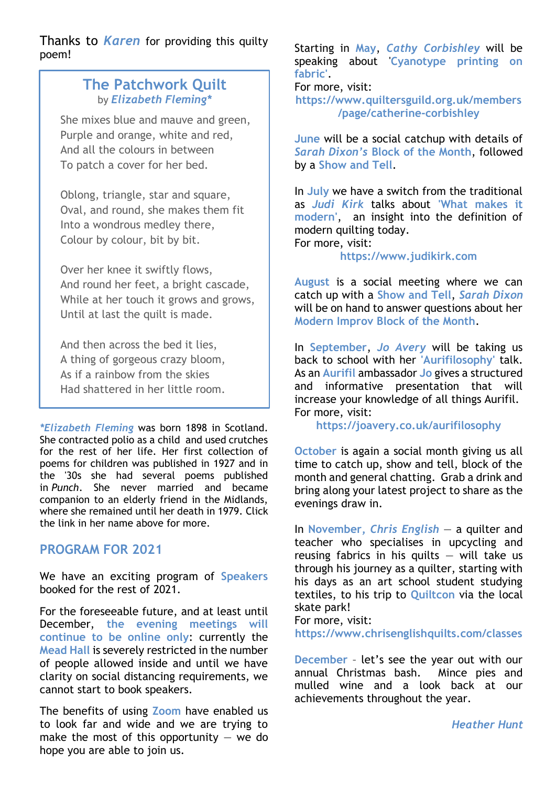Thanks to *Karen* for providing this quilty poem!

# **The Patchwork Quilt** by *[Elizabeth Fleming\\*](https://www.poetrynook.com/poet/elizabeth-fleming)*

She mixes blue and mauve and green, Purple and orange, white and red, And all the colours in between To patch a cover for her bed.

Oblong, triangle, star and square, Oval, and round, she makes them fit Into a wondrous medley there, Colour by colour, bit by bit.

Over her knee it swiftly flows, And round her feet, a bright cascade, While at her touch it grows and grows, Until at last the quilt is made.

And then across the bed it lies, A thing of gorgeous crazy bloom, As if a rainbow from the skies Had shattered in her little room.

*\*Elizabeth Fleming* was born 1898 in Scotland. She contracted polio as a child and used crutches for the rest of her life. Her first collection of poems for children was published in 1927 and in the '30s she had several poems published in *Punch*. She never married and became companion to an elderly friend in the Midlands, where she remained until her death in 1979. Click the link in her name above for more.

# **PROGRAM FOR 2021**

We have an exciting program of **Speakers** booked for the rest of 2021.

For the foreseeable future, and at least until December, **the evening meetings will continue to be online only**: currently the **Mead Hall** is severely restricted in the number of people allowed inside and until we have clarity on social distancing requirements, we cannot start to book speakers.

The benefits of using **Zoom** have enabled us to look far and wide and we are trying to make the most of this opportunity  $-$  we do hope you are able to join us.

Starting in **May**, *Cathy Corbishley* will be speaking about '**Cyanotype printing on fabric'**.

For more, visit:

**[https://www.quiltersguild.org.uk/members](https://www.quiltersguild.org.uk/members/page/catherine-corbishley) [/page/catherine-corbishley](https://www.quiltersguild.org.uk/members/page/catherine-corbishley)**

**June** will be a social catchup with details of *Sarah Dixon's* **Block of the Month**, followed by a **Show and Tell**.

In **July** we have a switch from the traditional as *Judi Kirk* talks about **'What makes it modern'**, an insight into the definition of modern quilting today. For more, visit:

#### **[https://www.judikirk.com](https://www.judikirk.com/)**

**August** is a social meeting where we can catch up with a **Show and Tell**, *Sarah Dixon* will be on hand to answer questions about her **Modern Improv Block of the Month**.

In **September**, *Jo Avery* will be taking us back to school with her **'Aurifilosophy'** talk. As an **Aurifil** ambassador **Jo** gives a structured and informative presentation that will increase your knowledge of all things Aurifil. For more, visit:

**<https://joavery.co.uk/aurifilosophy>**

**October** is again a social month giving us all time to catch up, show and tell, block of the month and general chatting. Grab a drink and bring along your latest project to share as the evenings draw in.

In **November,** *Chris English* — a quilter and teacher who specialises in upcycling and reusing fabrics in his quilts  $-$  will take us through his journey as a quilter, starting with his days as an art school student studying textiles, to his trip to **Quiltcon** via the local skate park!

For more, visit:

**<https://www.chrisenglishquilts.com/classes>**

**December** – let's see the year out with our annual Christmas bash. Mince pies and mulled wine and a look back at our achievements throughout the year.

*Heather Hunt*